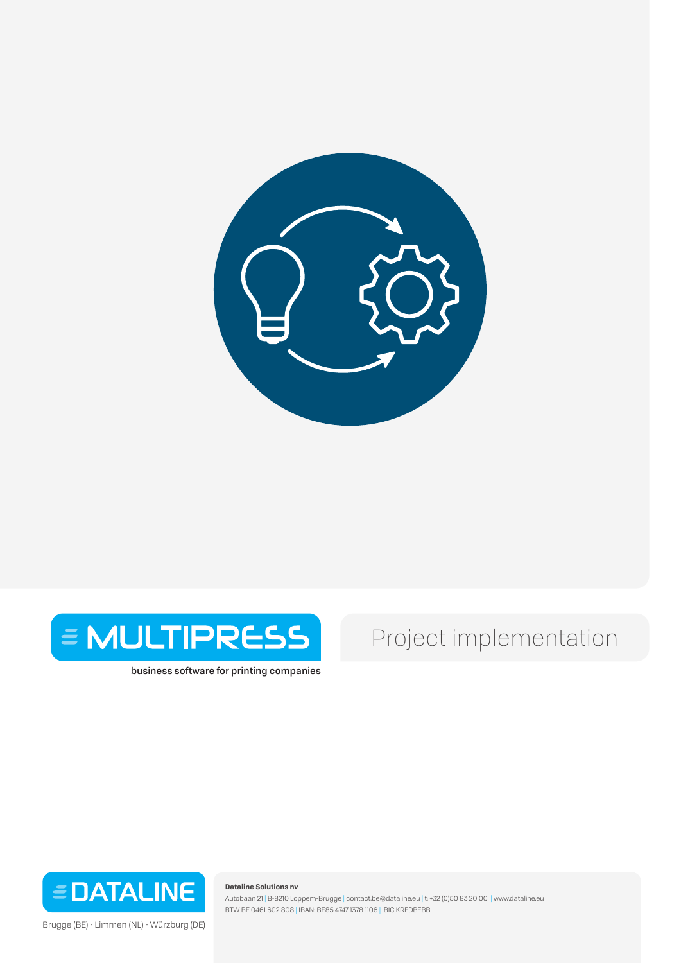



business software for printing companies

# Project implementation



Brugge (BE) - Limmen (NL) - Würzburg (DE)

**Dataline Solutions nv** 

Autobaan 21 | B-8210 Loppem-Brugge | contact.be@dataline.eu | t: +32 (0)50 83 20 00 | www.dataline.eu BTW BE 0461 602 808 | IBAN: BE85 4747 1378 1106 | BIC KREDBEBB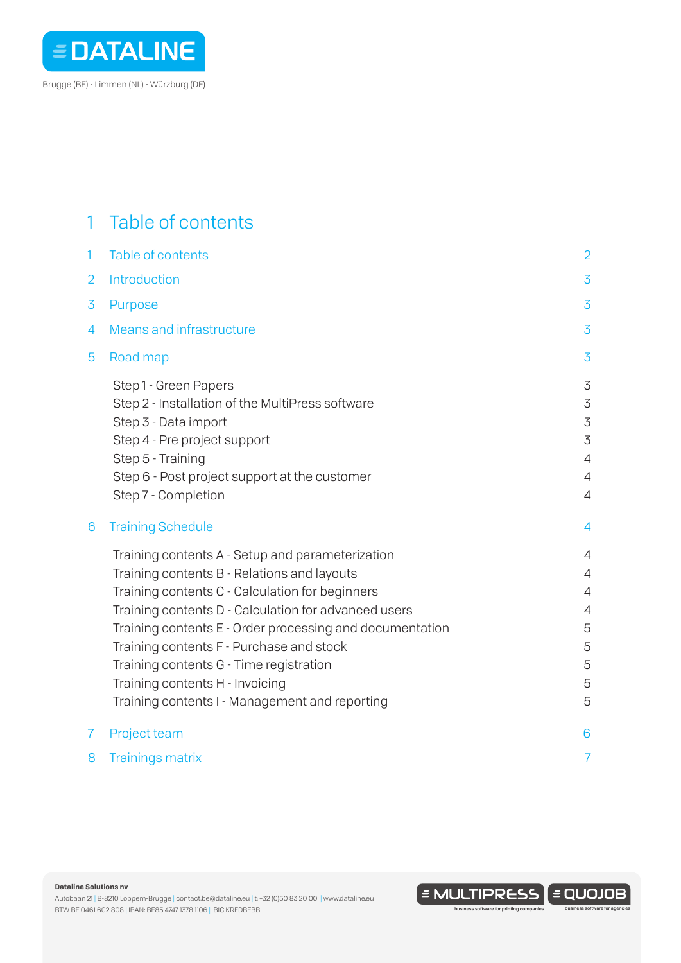

## 1 Table of contents

| $\mathbf{1}$   | Table of contents                                                                                                                                                                                                                                                                                                                                                                                                                                  | $\overline{2}$                                                                                   |
|----------------|----------------------------------------------------------------------------------------------------------------------------------------------------------------------------------------------------------------------------------------------------------------------------------------------------------------------------------------------------------------------------------------------------------------------------------------------------|--------------------------------------------------------------------------------------------------|
| $\overline{2}$ | Introduction                                                                                                                                                                                                                                                                                                                                                                                                                                       | $\overline{3}$                                                                                   |
| 3              | <b>Purpose</b>                                                                                                                                                                                                                                                                                                                                                                                                                                     | 3                                                                                                |
| 4              | <b>Means and infrastructure</b>                                                                                                                                                                                                                                                                                                                                                                                                                    | $\overline{3}$                                                                                   |
| 5              | Road map                                                                                                                                                                                                                                                                                                                                                                                                                                           | $\overline{3}$                                                                                   |
|                | Step1 - Green Papers<br>Step 2 - Installation of the MultiPress software<br>Step 3 - Data import<br>Step 4 - Pre project support<br>Step 5 - Training<br>Step 6 - Post project support at the customer<br>Step 7 - Completion                                                                                                                                                                                                                      | 3<br>$\overline{3}$<br>$\mathfrak{Z}$<br>3<br>$\overline{4}$<br>$\overline{4}$<br>$\overline{4}$ |
| 6              | <b>Training Schedule</b>                                                                                                                                                                                                                                                                                                                                                                                                                           | 4                                                                                                |
|                | Training contents A - Setup and parameterization<br>Training contents B - Relations and layouts<br>Training contents C - Calculation for beginners<br>Training contents D - Calculation for advanced users<br>Training contents E - Order processing and documentation<br>Training contents F - Purchase and stock<br>Training contents G - Time registration<br>Training contents H - Invoicing<br>Training contents I - Management and reporting | 4<br>$\overline{4}$<br>4<br>$\overline{4}$<br>5<br>5<br>5<br>5<br>5                              |
| 7              | Project team                                                                                                                                                                                                                                                                                                                                                                                                                                       | 6                                                                                                |
| 8              | <b>Trainings matrix</b>                                                                                                                                                                                                                                                                                                                                                                                                                            | $\overline{7}$                                                                                   |

**Dataline Solutions nv** 

 $\mathsf{I}$  = MULTIPRESS  $\mathsf{I}$  = QUOJOB)

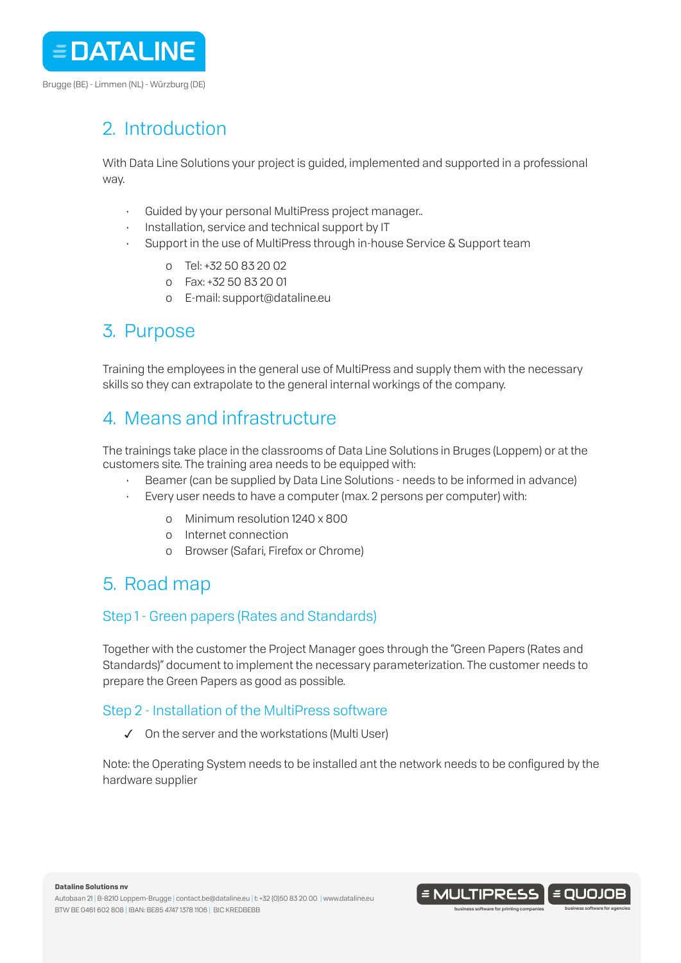

# 2. Introduction

With Data Line Solutions your project is guided, implemented and supported in a professional way.

- Guided by your personal MultiPress project manager..
- Installation, service and technical support by IT
- Support in the use of MultiPress through in-house Service & Support team
	- o Tel: +32 50 83 20 02
	- o Fax: +32 50 83 20 01
	- o E-mail: support@dataline.eu

### 3. Purpose

Training the employees in the general use of MultiPress and supply them with the necessary skills so they can extrapolate to the general internal workings of the company.

## 4. Means and infrastructure

The trainings take place in the classrooms of Data Line Solutions in Bruges (Loppem) or at the customers site. The training area needs to be equipped with:

- Beamer (can be supplied by Data Line Solutions needs to be informed in advance)
- Every user needs to have a computer (max. 2 persons per computer) with:
	- o Minimum resolution 1240 x 800
	- o Internet connection
	- o Browser (Safari, Firefox or Chrome)

## 5. Road map

### Step 1 - Green papers (Rates and Standards)

Together with the customer the Project Manager goes through the "Green Papers (Rates and Standards)" document to implement the necessary parameterization. The customer needs to prepare the Green Papers as good as possible.

### Step 2 - Installation of the MultiPress software

✓ On the server and the workstations (Multi User)

Note: the Operating System needs to be installed ant the network needs to be configured by the hardware supplier

**Dataline Solutions nv** 

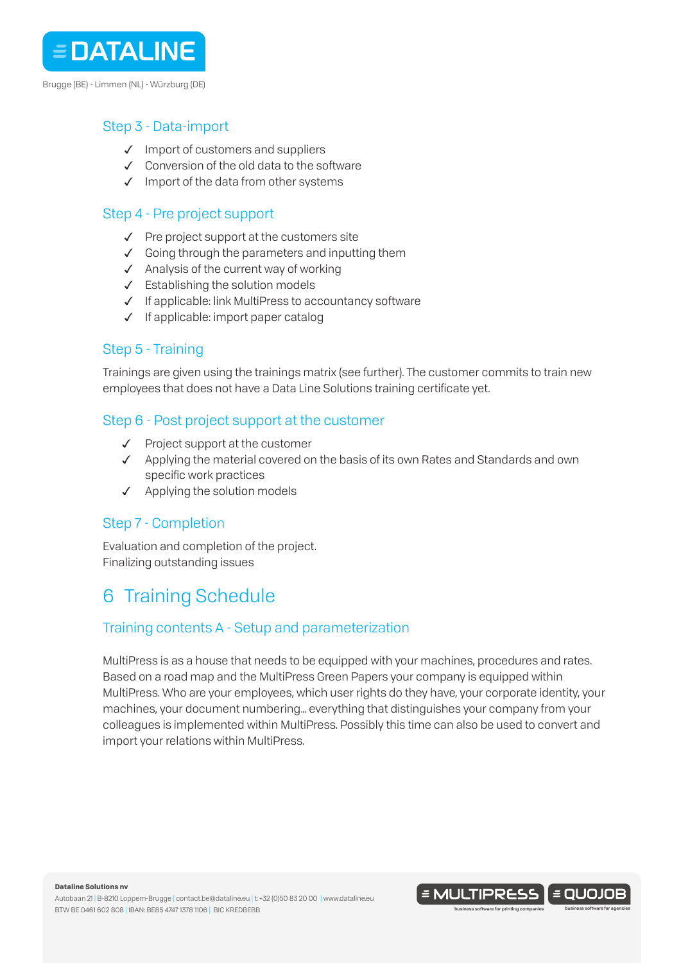

Brugge (BE) - Limmen (NL) - Würzburg (DE)

### Step 3 - Data-import

- ✓ Import of customers and suppliers
- ✓ Conversion of the old data to the software
- ✓ Import of the data from other systems

### Step 4 - Pre project support

- ✓ Pre project support at the customers site
- $\checkmark$  Going through the parameters and inputting them
- ✓ Analysis of the current way of working
- ✓ Establishing the solution models
- ✓ If applicable: link MultiPress to accountancy software
- ✓ If applicable: import paper catalog

### Step 5 - Training

Trainings are given using the trainings matrix (see further). The customer commits to train new employees that does not have a Data Line Solutions training certificate yet.

### Step 6 - Post project support at the customer

- ✓ Project support at the customer
- ✓ Applying the material covered on the basis of its own Rates and Standards and own specific work practices
- ✓ Applying the solution models

### Step 7 - Completion

Evaluation and completion of the project. Finalizing outstanding issues

# 6 Training Schedule

### Training contents A - Setup and parameterization

MultiPress is as a house that needs to be equipped with your machines, procedures and rates. Based on a road map and the MultiPress Green Papers your company is equipped within MultiPress. Who are your employees, which user rights do they have, your corporate identity, your machines, your document numbering… everything that distinguishes your company from your colleagues is implemented within MultiPress. Possibly this time can also be used to convert and import your relations within MultiPress.

**Dataline Solutions nv** 

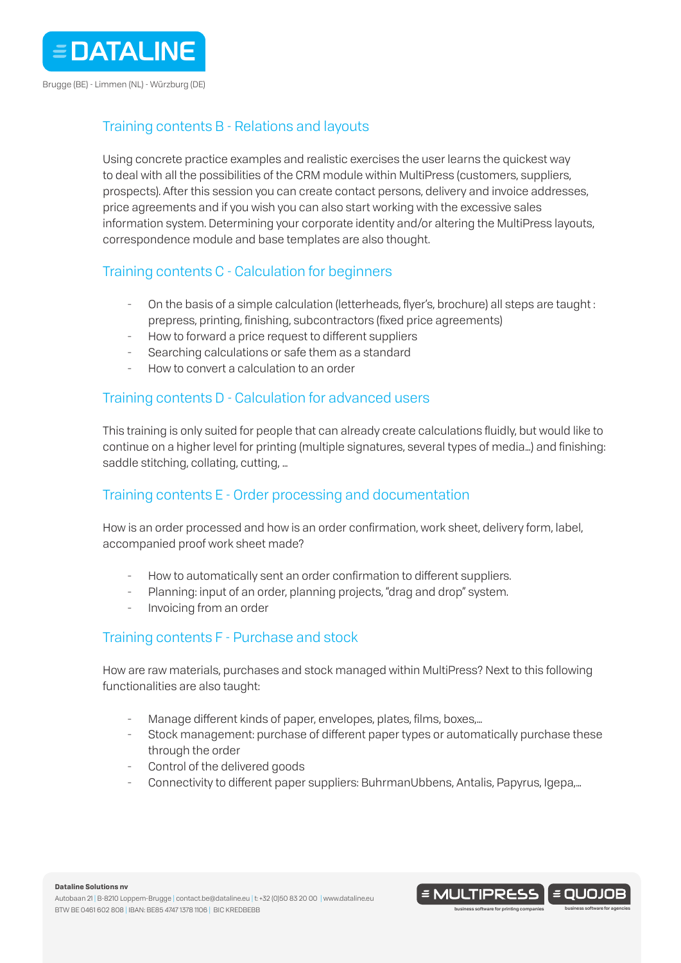

### Training contents B - Relations and layouts

Using concrete practice examples and realistic exercises the user learns the quickest way to deal with all the possibilities of the CRM module within MultiPress (customers, suppliers, prospects). After this session you can create contact persons, delivery and invoice addresses, price agreements and if you wish you can also start working with the excessive sales information system. Determining your corporate identity and/or altering the MultiPress layouts, correspondence module and base templates are also thought.

### Training contents C - Calculation for beginners

- On the basis of a simple calculation (letterheads, flyer's, brochure) all steps are taught : prepress, printing, finishing, subcontractors (fixed price agreements)
- How to forward a price request to different suppliers
- Searching calculations or safe them as a standard
- How to convert a calculation to an order

### Training contents D - Calculation for advanced users

This training is only suited for people that can already create calculations fluidly, but would like to continue on a higher level for printing (multiple signatures, several types of media…) and finishing: saddle stitching, collating, cutting, ...

### Training contents E - Order processing and documentation

How is an order processed and how is an order confirmation, work sheet, delivery form, label, accompanied proof work sheet made?

- How to automatically sent an order confirmation to different suppliers.
- Planning: input of an order, planning projects, "drag and drop" system.
- Invoicing from an order

### Training contents F - Purchase and stock

How are raw materials, purchases and stock managed within MultiPress? Next to this following functionalities are also taught:

- Manage different kinds of paper, envelopes, plates, films, boxes,...
- Stock management: purchase of different paper types or automatically purchase these through the order
- Control of the delivered goods
- ̵ Connectivity to different paper suppliers: BuhrmanUbbens, Antalis, Papyrus, Igepa,…

#### **Dataline Solutions nv**

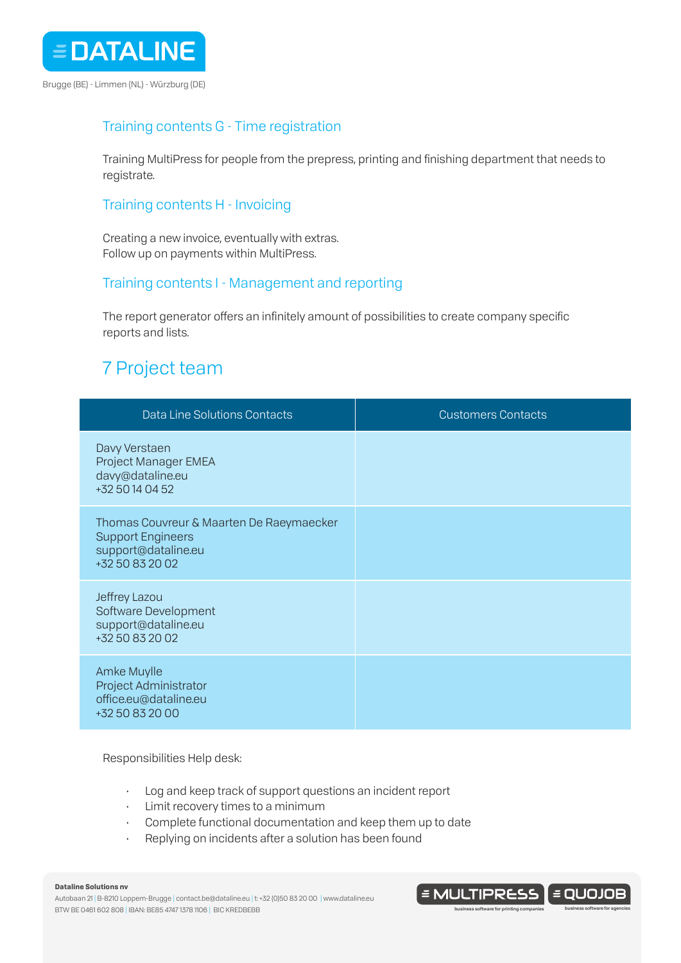

### Training contents G - Time registration

Training MultiPress for people from the prepress, printing and finishing department that needs to registrate.

### Training contents H - Invoicing

Creating a new invoice, eventually with extras. Follow up on payments within MultiPress.

### Training contents I - Management and reporting

The report generator offers an infinitely amount of possibilities to create company specific reports and lists.

## 7 Project team

| <b>Data Line Solutions Contacts</b>                                                                            | <b>Customers Contacts</b> |
|----------------------------------------------------------------------------------------------------------------|---------------------------|
| Davy Verstaen<br>Project Manager EMEA<br>davy@dataline.eu<br>+32 50 14 04 52                                   |                           |
| Thomas Couvreur & Maarten De Raeymaecker<br><b>Support Engineers</b><br>support@dataline.eu<br>+32 50 83 20 02 |                           |
| Jeffrey Lazou<br>Software Development<br>support@dataline.eu<br>+32 50 83 20 02                                |                           |
| Amke Muylle<br>Project Administrator<br>office.eu@dataline.eu<br>+32 50 83 20 00                               |                           |

#### Responsibilities Help desk:

- Log and keep track of support questions an incident report
- Limit recovery times to a minimum
- Complete functional documentation and keep them up to date
- Replying on incidents after a solution has been found

#### **Dataline Solutions nv**

Autobaan 21 | B-8210 Loppem-Brugge | contact.be@dataline.eu | t: +32 (0)50 83 20 00 | www.dataline.eu BTW BE 0461 602 808 | IBAN: BE85 4747 1378 1106 | BIC KREDBEBB